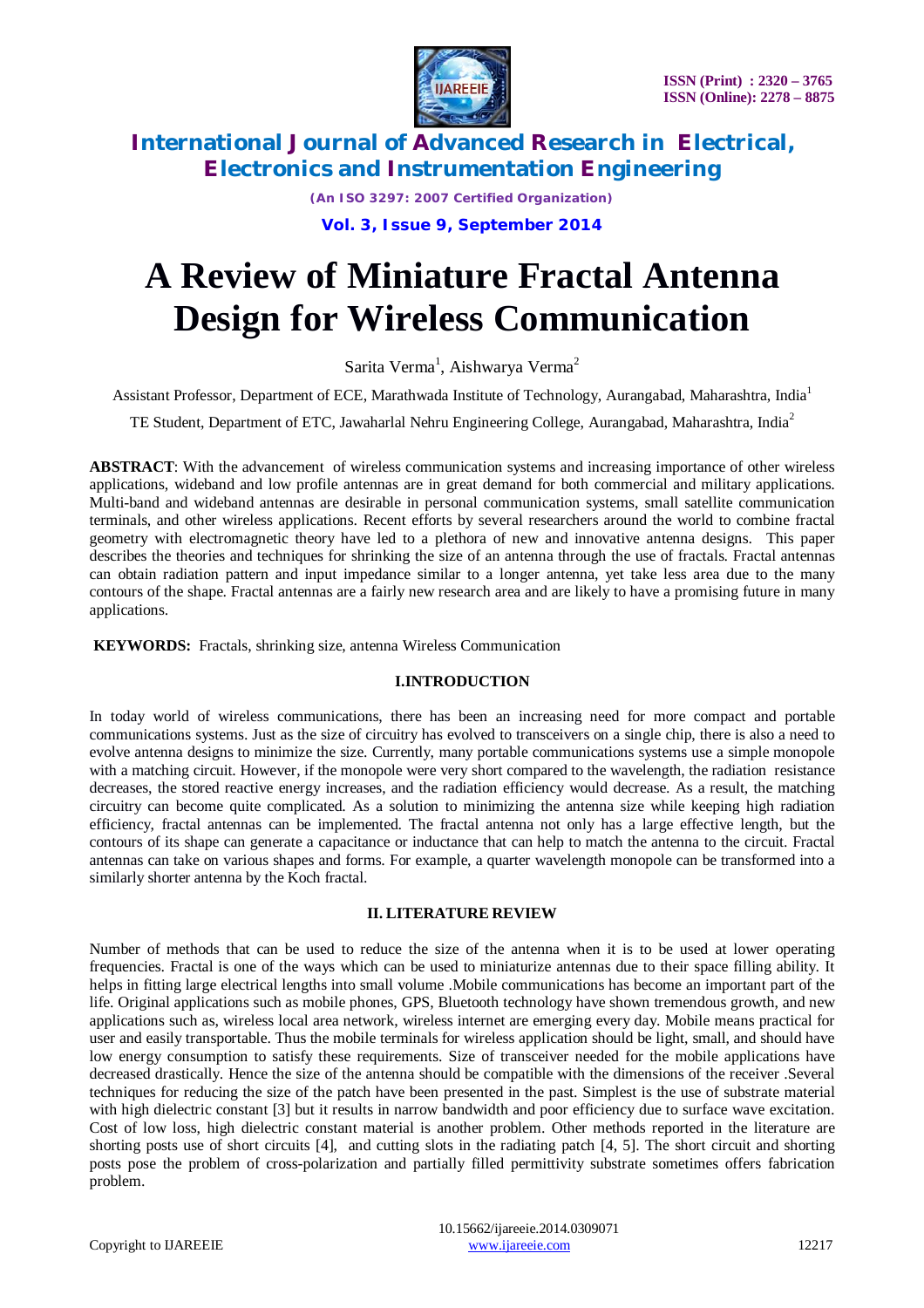

*(An ISO 3297: 2007 Certified Organization)*

**Vol. 3, Issue 9, September 2014**

# **A Review of Miniature Fractal Antenna Design for Wireless Communication**

Sarita Verma<sup>1</sup>, Aishwarya Verma<sup>2</sup>

Assistant Professor, Department of ECE, Marathwada Institute of Technology, Aurangabad, Maharashtra, India<sup>1</sup>

TE Student, Department of ETC, Jawaharlal Nehru Engineering College, Aurangabad, Maharashtra, India<sup>2</sup>

**ABSTRACT**: With the advancement of wireless communication systems and increasing importance of other wireless applications, wideband and low profile antennas are in great demand for both commercial and military applications. Multi-band and wideband antennas are desirable in personal communication systems, small satellite communication terminals, and other wireless applications. Recent efforts by several researchers around the world to combine fractal geometry with electromagnetic theory have led to a plethora of new and innovative antenna designs. This paper describes the theories and techniques for shrinking the size of an antenna through the use of fractals. Fractal antennas can obtain radiation pattern and input impedance similar to a longer antenna, yet take less area due to the many contours of the shape. Fractal antennas are a fairly new research area and are likely to have a promising future in many applications.

**KEYWORDS:** Fractals, shrinking size, antenna Wireless Communication

### **I.INTRODUCTION**

In today world of wireless communications, there has been an increasing need for more compact and portable communications systems. Just as the size of circuitry has evolved to transceivers on a single chip, there is also a need to evolve antenna designs to minimize the size. Currently, many portable communications systems use a simple monopole with a matching circuit. However, if the monopole were very short compared to the wavelength, the radiation resistance decreases, the stored reactive energy increases, and the radiation efficiency would decrease. As a result, the matching circuitry can become quite complicated. As a solution to minimizing the antenna size while keeping high radiation efficiency, fractal antennas can be implemented. The fractal antenna not only has a large effective length, but the contours of its shape can generate a capacitance or inductance that can help to match the antenna to the circuit. Fractal antennas can take on various shapes and forms. For example, a quarter wavelength monopole can be transformed into a similarly shorter antenna by the Koch fractal.

### **II. LITERATURE REVIEW**

Number of methods that can be used to reduce the size of the antenna when it is to be used at lower operating frequencies. Fractal is one of the ways which can be used to miniaturize antennas due to their space filling ability. It helps in fitting large electrical lengths into small volume .Mobile communications has become an important part of the life. Original applications such as mobile phones, GPS, Bluetooth technology have shown tremendous growth, and new applications such as, wireless local area network, wireless internet are emerging every day. Mobile means practical for user and easily transportable. Thus the mobile terminals for wireless application should be light, small, and should have low energy consumption to satisfy these requirements. Size of transceiver needed for the mobile applications have decreased drastically. Hence the size of the antenna should be compatible with the dimensions of the receiver .Several techniques for reducing the size of the patch have been presented in the past. Simplest is the use of substrate material with high dielectric constant [3] but it results in narrow bandwidth and poor efficiency due to surface wave excitation. Cost of low loss, high dielectric constant material is another problem. Other methods reported in the literature are shorting posts use of short circuits [4], and cutting slots in the radiating patch [4, 5]. The short circuit and shorting posts pose the problem of cross-polarization and partially filled permittivity substrate sometimes offers fabrication problem.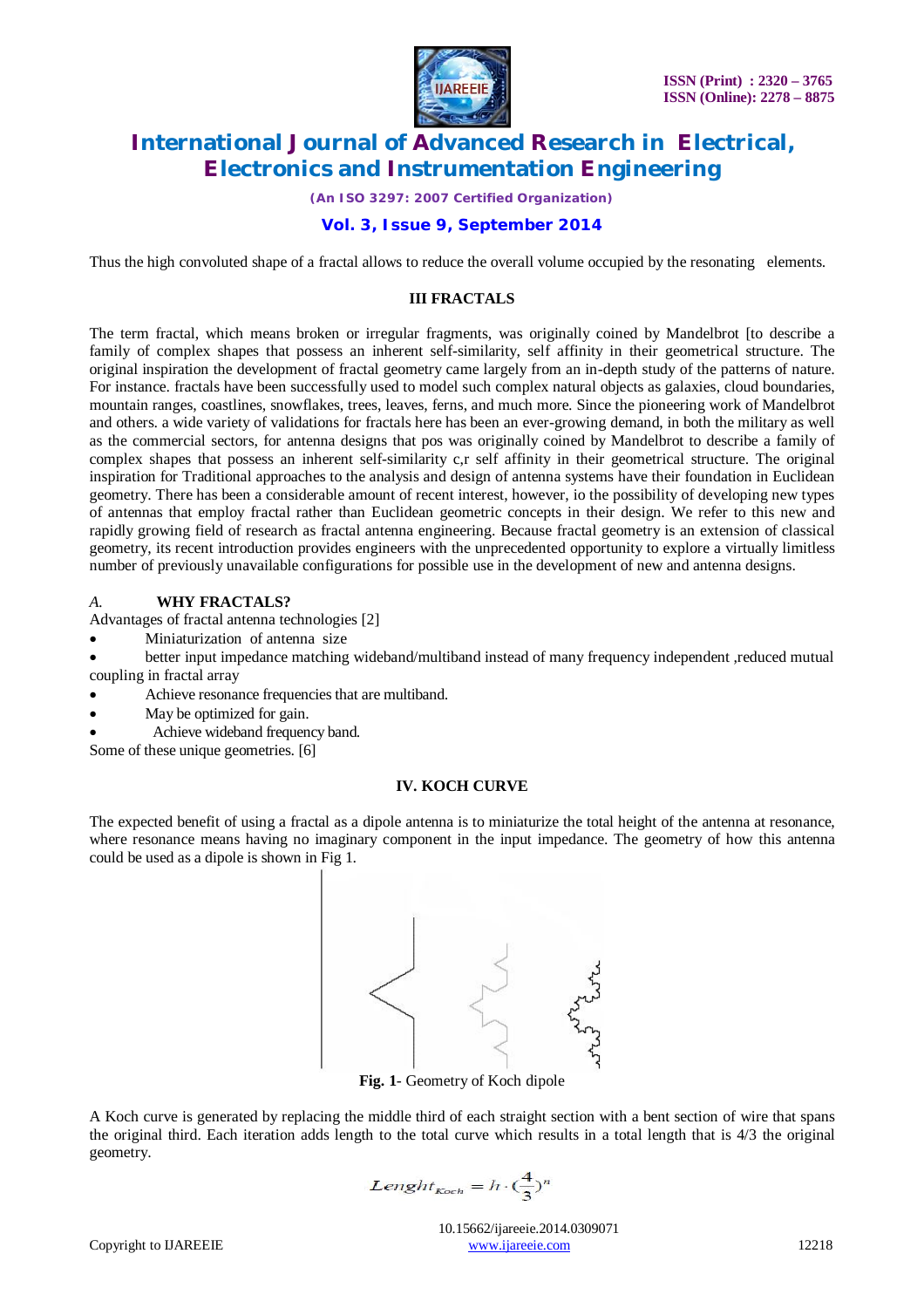

*(An ISO 3297: 2007 Certified Organization)*

### **Vol. 3, Issue 9, September 2014**

Thus the high convoluted shape of a fractal allows to reduce the overall volume occupied by the resonating elements.

### **III FRACTALS**

The term fractal, which means broken or irregular fragments, was originally coined by Mandelbrot [to describe a family of complex shapes that possess an inherent self-similarity, self affinity in their geometrical structure. The original inspiration the development of fractal geometry came largely from an in-depth study of the patterns of nature. For instance. fractals have been successfully used to model such complex natural objects as galaxies, cloud boundaries, mountain ranges, coastlines, snowflakes, trees, leaves, ferns, and much more. Since the pioneering work of Mandelbrot and others. a wide variety of validations for fractals here has been an ever-growing demand, in both the military as well as the commercial sectors, for antenna designs that pos was originally coined by Mandelbrot to describe a family of complex shapes that possess an inherent self-similarity c,r self affinity in their geometrical structure. The original inspiration for Traditional approaches to the analysis and design of antenna systems have their foundation in Euclidean geometry. There has been a considerable amount of recent interest, however, io the possibility of developing new types of antennas that employ fractal rather than Euclidean geometric concepts in their design. We refer to this new and rapidly growing field of research as fractal antenna engineering. Because fractal geometry is an extension of classical geometry, its recent introduction provides engineers with the unprecedented opportunity to explore a virtually limitless number of previously unavailable configurations for possible use in the development of new and antenna designs.

#### *A.* **WHY FRACTALS?**

Advantages of fractal antenna technologies [2]

- Miniaturization of antenna size
- better input impedance matching wideband/multiband instead of many frequency independent ,reduced mutual coupling in fractal array
- Achieve resonance frequencies that are multiband.
- May be optimized for gain.
- Achieve wideband frequency band.
- Some of these unique geometries. [6]

#### **IV. KOCH CURVE**

The expected benefit of using a fractal as a dipole antenna is to miniaturize the total height of the antenna at resonance, where resonance means having no imaginary component in the input impedance. The geometry of how this antenna could be used as a dipole is shown in Fig 1.



**Fig. 1**- Geometry of Koch dipole

A Koch curve is generated by replacing the middle third of each straight section with a bent section of wire that spans the original third. Each iteration adds length to the total curve which results in a total length that is 4/3 the original geometry.

$$
Lengtht_{Koch} = h \cdot (\frac{4}{3})^n
$$

 10.15662/ijareeie.2014.0309071 Copyright to IJAREEIE www.ijareeie.com 12218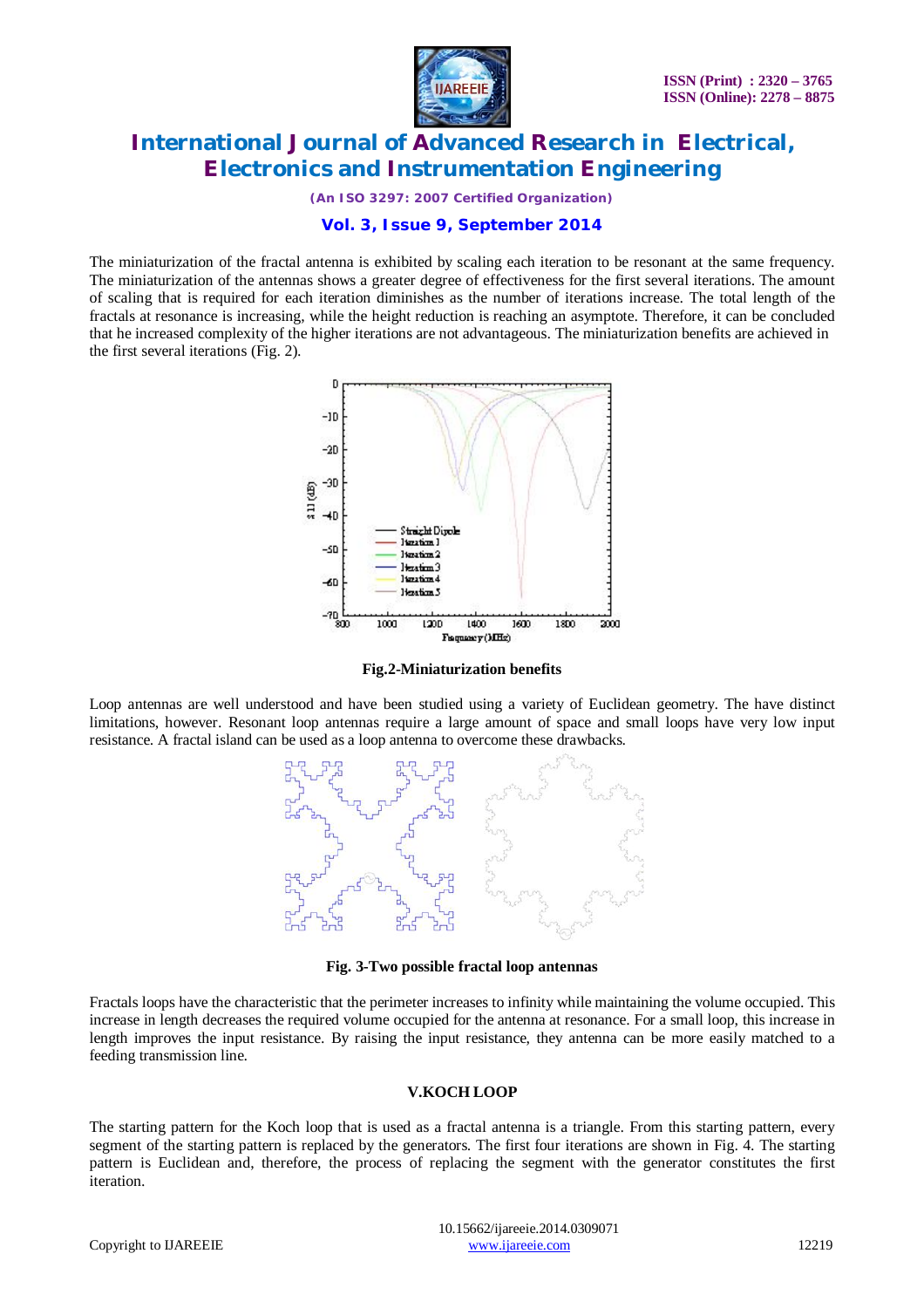

*(An ISO 3297: 2007 Certified Organization)*

### **Vol. 3, Issue 9, September 2014**

The miniaturization of the fractal antenna is exhibited by scaling each iteration to be resonant at the same frequency. The miniaturization of the antennas shows a greater degree of effectiveness for the first several iterations. The amount of scaling that is required for each iteration diminishes as the number of iterations increase. The total length of the fractals at resonance is increasing, while the height reduction is reaching an asymptote. Therefore, it can be concluded that he increased complexity of the higher iterations are not advantageous. The miniaturization benefits are achieved in the first several iterations (Fig. 2).



**Fig.2-Miniaturization benefits**

Loop antennas are well understood and have been studied using a variety of Euclidean geometry. The have distinct limitations, however. Resonant loop antennas require a large amount of space and small loops have very low input resistance. A fractal island can be used as a loop antenna to overcome these drawbacks.



**Fig. 3-Two possible fractal loop antennas**

Fractals loops have the characteristic that the perimeter increases to infinity while maintaining the volume occupied. This increase in length decreases the required volume occupied for the antenna at resonance. For a small loop, this increase in length improves the input resistance. By raising the input resistance, they antenna can be more easily matched to a feeding transmission line.

#### **V.KOCH LOOP**

The starting pattern for the Koch loop that is used as a fractal antenna is a triangle. From this starting pattern, every segment of the starting pattern is replaced by the generators. The first four iterations are shown in Fig. 4. The starting pattern is Euclidean and, therefore, the process of replacing the segment with the generator constitutes the first iteration.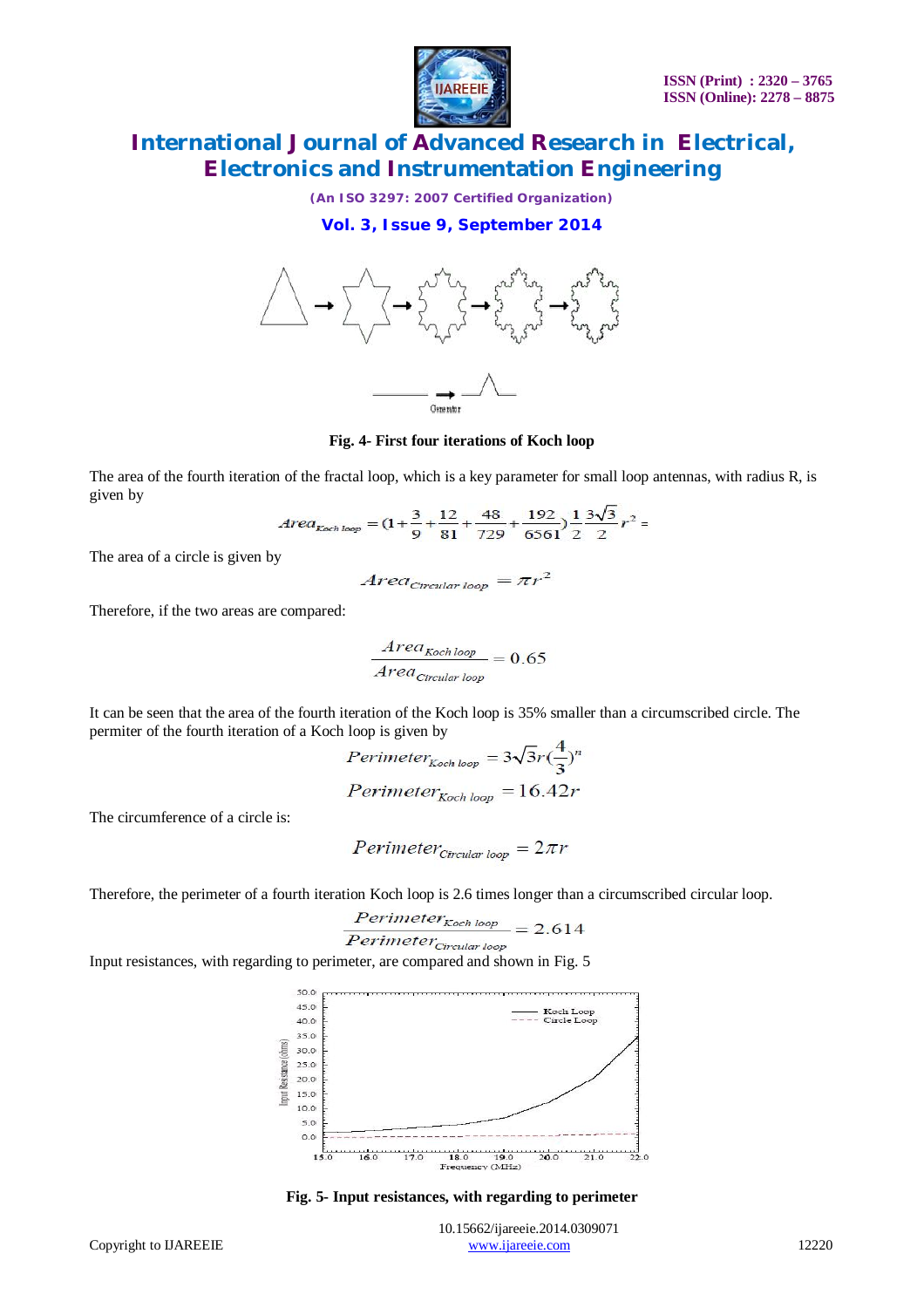

*(An ISO 3297: 2007 Certified Organization)*

**Vol. 3, Issue 9, September 2014**



**Fig. 4- First four iterations of Koch loop**

The area of the fourth iteration of the fractal loop, which is a key parameter for small loop antennas, with radius R, is given by

Area<sub>Each loop</sub> = 
$$
(1 + \frac{3}{9} + \frac{12}{81} + \frac{48}{729} + \frac{192}{6561})\frac{1}{2}\frac{3\sqrt{3}}{2}r^2
$$
 =

The area of a circle is given by

$$
Area_{Circular\ loop} = \pi r^2
$$

Therefore, if the two areas are compared:

$$
\frac{Area_{Koch\,loop}}{Area_{circular\,loop}} = 0.65
$$

It can be seen that the area of the fourth iteration of the Koch loop is 35% smaller than a circumscribed circle. The permiter of the fourth iteration of a Koch loop is given by

Perimeter<sub>Koch loop</sub> = 
$$
3\sqrt{3}r(\frac{4}{3})^n
$$
  
Perimeter<sub>Koch loop</sub> = 16.42r

The circumference of a circle is:

Perimeter<sub>Circular loop</sub> =  $2\pi r$ 

Therefore, the perimeter of a fourth iteration Koch loop is 2.6 times longer than a circumscribed circular loop.<br> $Perimeter_{Koch\ loop}} = 2.614$ 

Input resistances, with regarding to perimeter, are compared and shown in Fig. 5



**Fig. 5- Input resistances, with regarding to perimeter**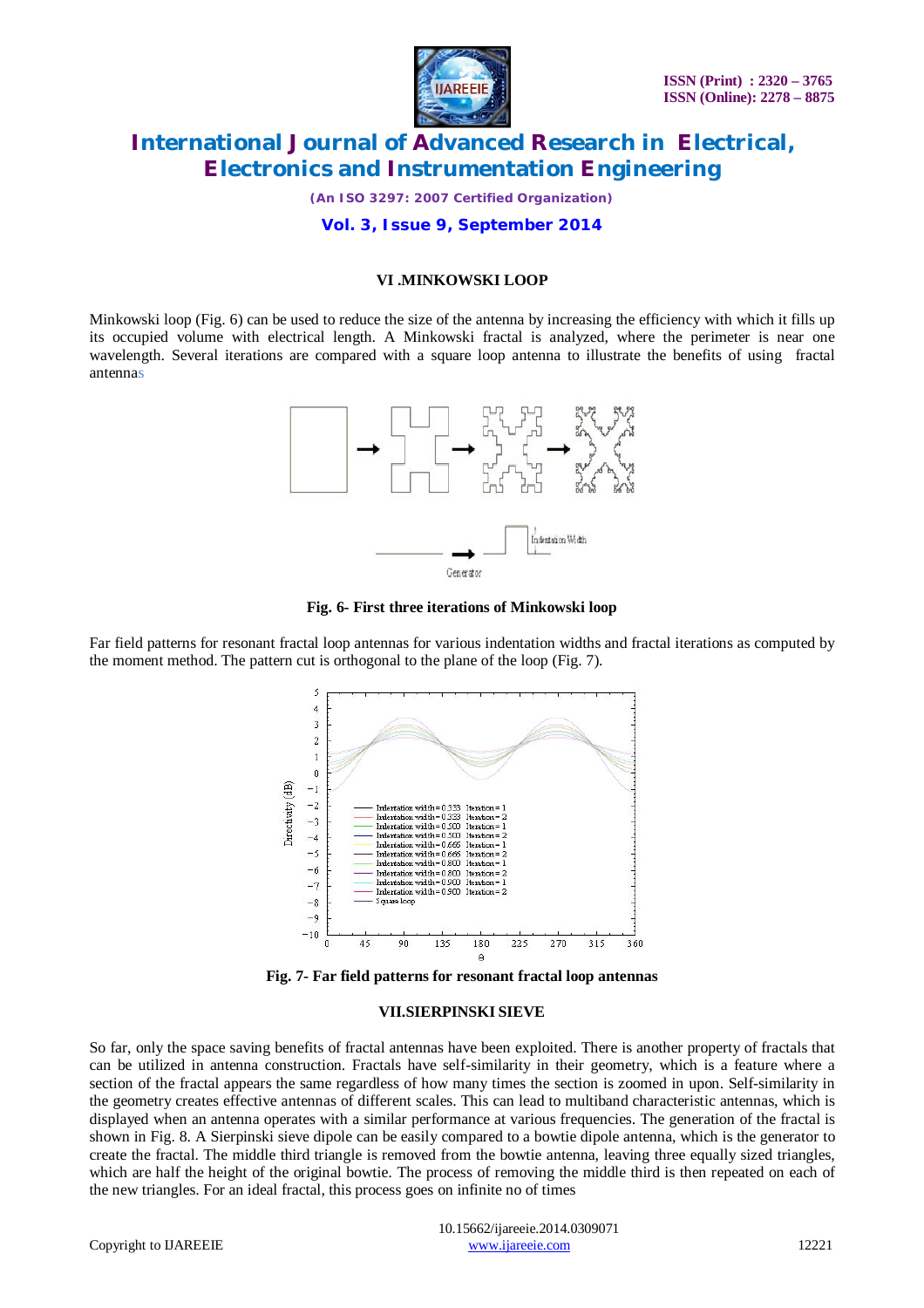

*(An ISO 3297: 2007 Certified Organization)*

### **Vol. 3, Issue 9, September 2014**

#### **VI .MINKOWSKI LOOP**

Minkowski loop (Fig. 6) can be used to reduce the size of the antenna by increasing the efficiency with which it fills up its occupied volume with electrical length. A Minkowski fractal is analyzed, where the perimeter is near one wavelength. Several iterations are compared with a square loop antenna to illustrate the benefits of using fractal antennas



**Fig. 6- First three iterations of Minkowski loop**

Far field patterns for resonant fractal loop antennas for various indentation widths and fractal iterations as computed by the moment method. The pattern cut is orthogonal to the plane of the loop (Fig. 7).



**Fig. 7- Far field patterns for resonant fractal loop antennas**

#### **VII.SIERPINSKI SIEVE**

So far, only the space saving benefits of fractal antennas have been exploited. There is another property of fractals that can be utilized in antenna construction. Fractals have self-similarity in their geometry, which is a feature where a section of the fractal appears the same regardless of how many times the section is zoomed in upon. Self-similarity in the geometry creates effective antennas of different scales. This can lead to multiband characteristic antennas, which is displayed when an antenna operates with a similar performance at various frequencies. The generation of the fractal is shown in Fig. 8. A Sierpinski sieve dipole can be easily compared to a bowtie dipole antenna, which is the generator to create the fractal. The middle third triangle is removed from the bowtie antenna, leaving three equally sized triangles, which are half the height of the original bowtie. The process of removing the middle third is then repeated on each of the new triangles. For an ideal fractal, this process goes on infinite no of times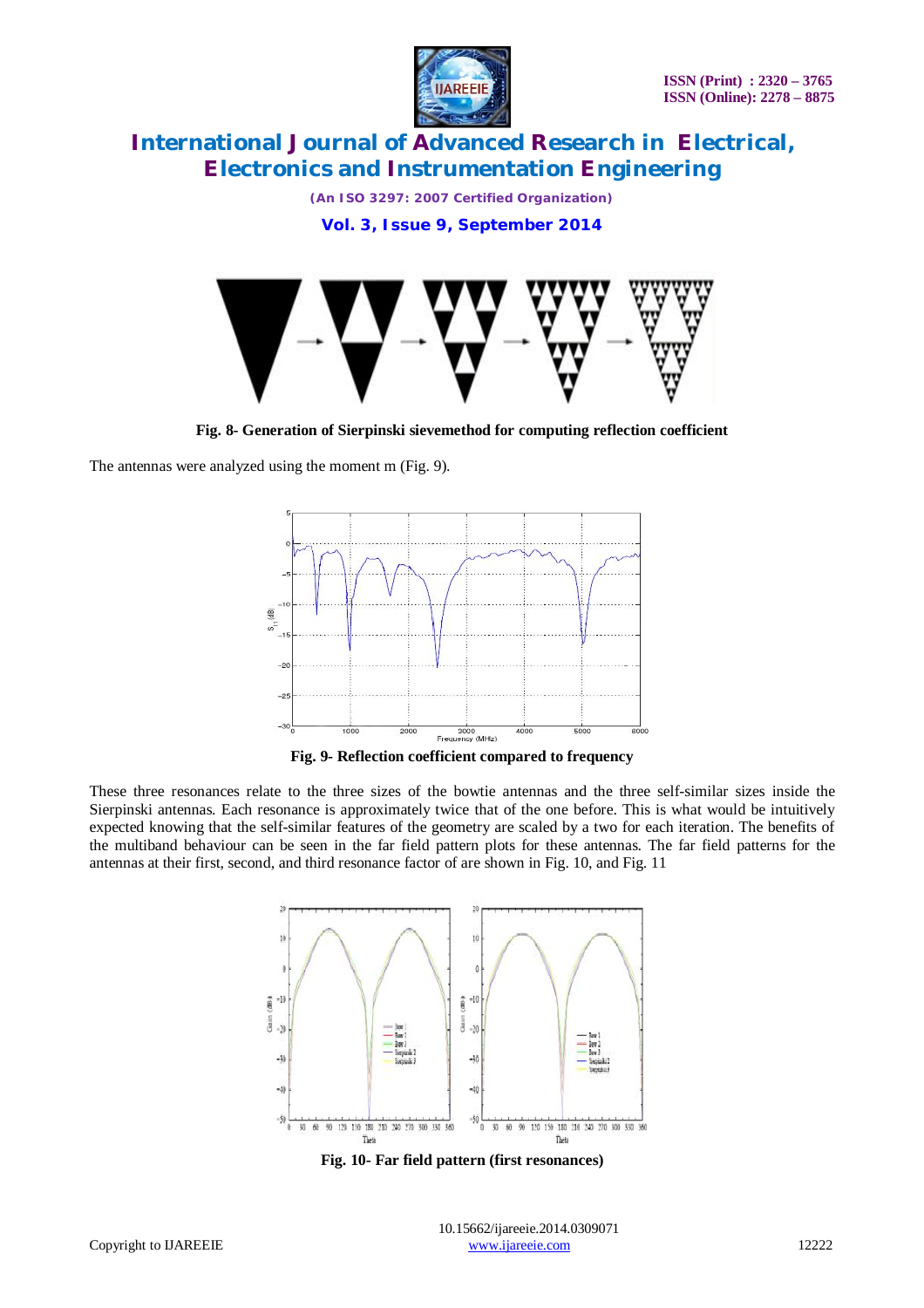

*(An ISO 3297: 2007 Certified Organization)* **Vol. 3, Issue 9, September 2014**



**Fig. 8- Generation of Sierpinski sievemethod for computing reflection coefficient**

The antennas were analyzed using the moment m (Fig. 9).



**Fig. 9- Reflection coefficient compared to frequency**

These three resonances relate to the three sizes of the bowtie antennas and the three self-similar sizes inside the Sierpinski antennas. Each resonance is approximately twice that of the one before. This is what would be intuitively expected knowing that the self-similar features of the geometry are scaled by a two for each iteration. The benefits of the multiband behaviour can be seen in the far field pattern plots for these antennas. The far field patterns for the antennas at their first, second, and third resonance factor of are shown in Fig. 10, and Fig. 11



**Fig. 10- Far field pattern (first resonances)**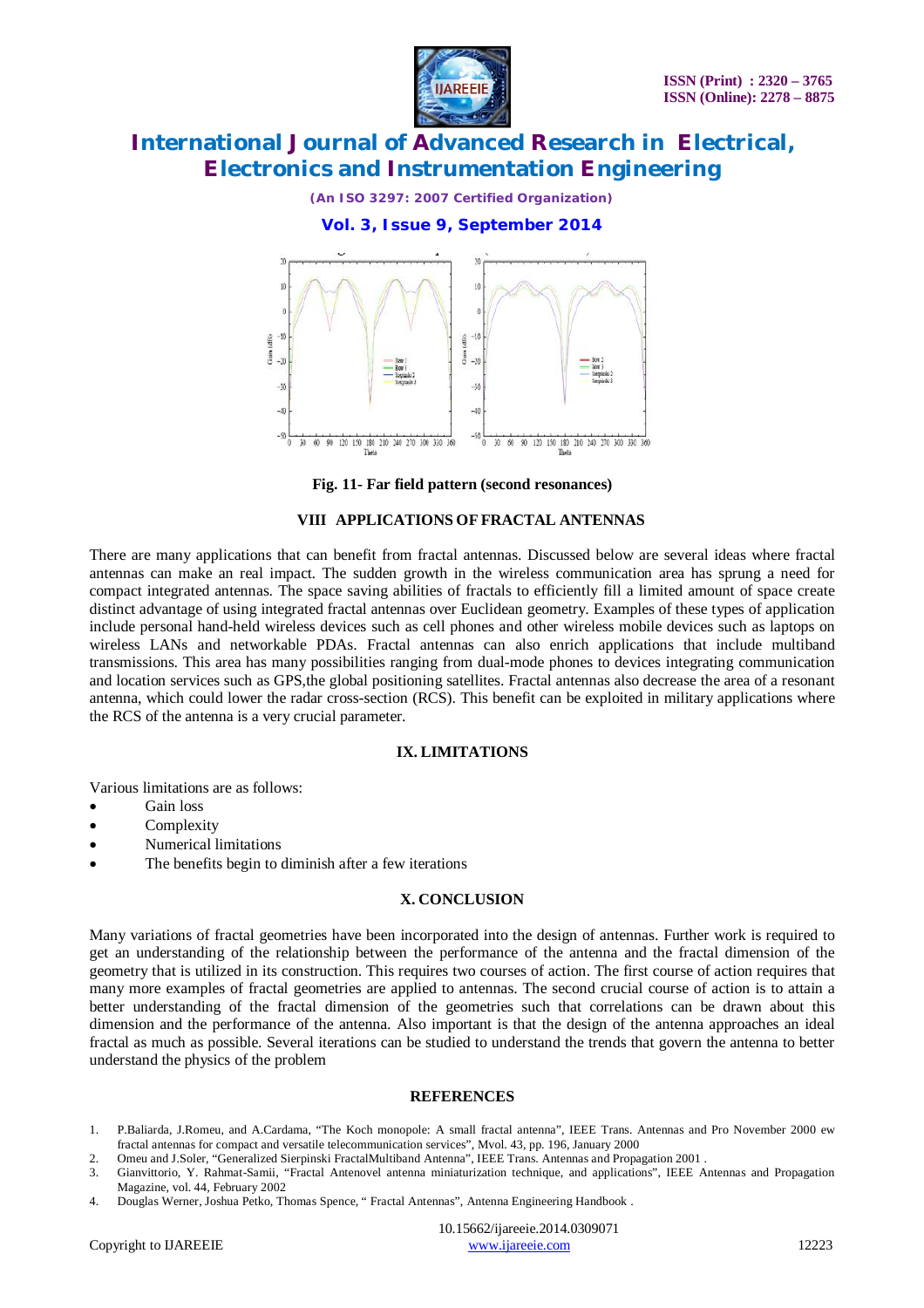

*(An ISO 3297: 2007 Certified Organization)*

### **Vol. 3, Issue 9, September 2014**



**Fig. 11- Far field pattern (second resonances)**

### **VIII APPLICATIONS OF FRACTAL ANTENNAS**

There are many applications that can benefit from fractal antennas. Discussed below are several ideas where fractal antennas can make an real impact. The sudden growth in the wireless communication area has sprung a need for compact integrated antennas. The space saving abilities of fractals to efficiently fill a limited amount of space create distinct advantage of using integrated fractal antennas over Euclidean geometry. Examples of these types of application include personal hand-held wireless devices such as cell phones and other wireless mobile devices such as laptops on wireless LANs and networkable PDAs. Fractal antennas can also enrich applications that include multiband transmissions. This area has many possibilities ranging from dual-mode phones to devices integrating communication and location services such as GPS,the global positioning satellites. Fractal antennas also decrease the area of a resonant antenna, which could lower the radar cross-section (RCS). This benefit can be exploited in military applications where the RCS of the antenna is a very crucial parameter.

#### **IX. LIMITATIONS**

Various limitations are as follows:

- Gain loss
- Complexity
- Numerical limitations
- The benefits begin to diminish after a few iterations

#### **X. CONCLUSION**

Many variations of fractal geometries have been incorporated into the design of antennas. Further work is required to get an understanding of the relationship between the performance of the antenna and the fractal dimension of the geometry that is utilized in its construction. This requires two courses of action. The first course of action requires that many more examples of fractal geometries are applied to antennas. The second crucial course of action is to attain a better understanding of the fractal dimension of the geometries such that correlations can be drawn about this dimension and the performance of the antenna. Also important is that the design of the antenna approaches an ideal fractal as much as possible. Several iterations can be studied to understand the trends that govern the antenna to better understand the physics of the problem

#### **REFERENCES**

- 1. P.Baliarda, J.Romeu, and A.Cardama, "The Koch monopole: A small fractal antenna", IEEE Trans. Antennas and Pro November 2000 ew fractal antennas for compact and versatile telecommunication services", Mvol. 43, pp. 196, January 2000
- 2. Omeu and J.Soler, "Generalized Sierpinski FractalMultiband Antenna", IEEE Trans. Antennas and Propagation 2001 .
- 3. Gianvittorio, Y. Rahmat-Samii, "Fractal Antenovel antenna miniaturization technique, and applications", IEEE Antennas and Propagation Magazine, vol. 44, February 2002
- 4. Douglas Werner, Joshua Petko, Thomas Spence, " Fractal Antennas", Antenna Engineering Handbook .